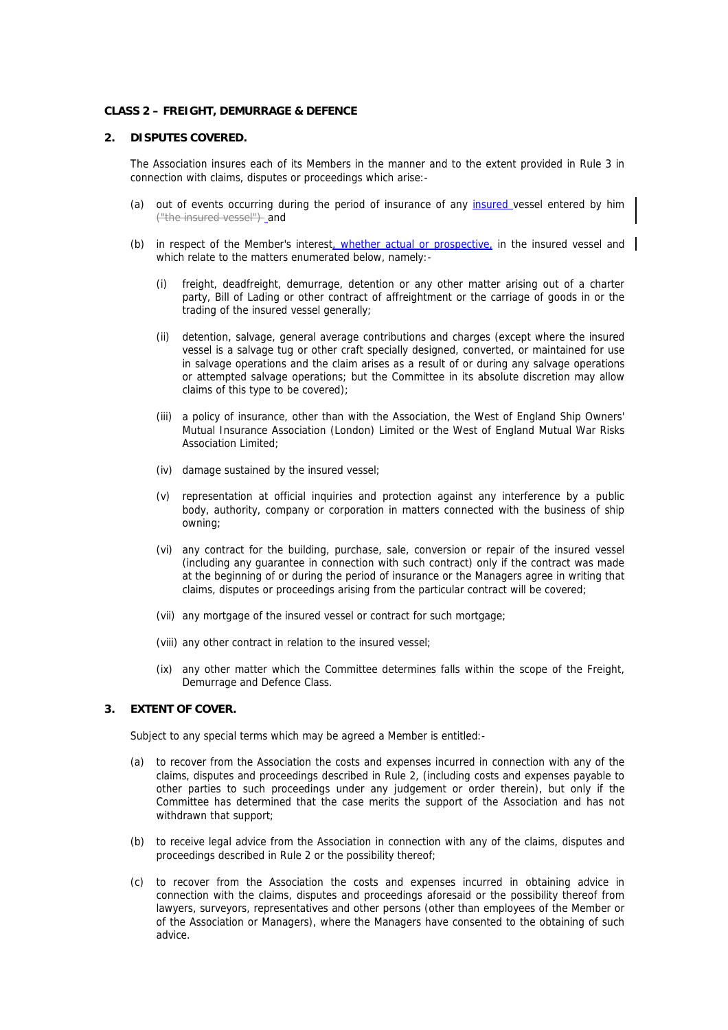#### **CLASS 2 – FREIGHT, DEMURRAGE & DEFENCE**

#### **2. DISPUTES COVERED.**

The Association insures each of its Members in the manner and to the extent provided in Rule 3 in connection with claims, disputes or proceedings which arise:-

- (a) out of events occurring during the period of insurance of any insured vessel entered by him ("the insured vessel")-and
- (b) in respect of the Member's interest, whether actual or prospective, in the insured vessel and which relate to the matters enumerated below, namely:-
	- (i) freight, deadfreight, demurrage, detention or any other matter arising out of a charter party, Bill of Lading or other contract of affreightment or the carriage of goods in or the trading of the insured vessel generally;
	- (ii) detention, salvage, general average contributions and charges (except where the insured vessel is a salvage tug or other craft specially designed, converted, or maintained for use in salvage operations and the claim arises as a result of or during any salvage operations or attempted salvage operations; but the Committee in its absolute discretion may allow claims of this type to be covered);
	- (iii) a policy of insurance, other than with the Association, the West of England Ship Owners' Mutual Insurance Association (London) Limited or the West of England Mutual War Risks Association Limited;
	- (iv) damage sustained by the insured vessel;
	- (v) representation at official inquiries and protection against any interference by a public body, authority, company or corporation in matters connected with the business of ship owning;
	- (vi) any contract for the building, purchase, sale, conversion or repair of the insured vessel (including any guarantee in connection with such contract) only if the contract was made at the beginning of or during the period of insurance or the Managers agree in writing that claims, disputes or proceedings arising from the particular contract will be covered;
	- (vii) any mortgage of the insured vessel or contract for such mortgage;
	- (viii) any other contract in relation to the insured vessel;
	- (ix) any other matter which the Committee determines falls within the scope of the Freight, Demurrage and Defence Class.

## **3. EXTENT OF COVER.**

Subject to any special terms which may be agreed a Member is entitled:-

- (a) to recover from the Association the costs and expenses incurred in connection with any of the claims, disputes and proceedings described in Rule 2, (including costs and expenses payable to other parties to such proceedings under any judgement or order therein), but only if the Committee has determined that the case merits the support of the Association and has not withdrawn that support;
- (b) to receive legal advice from the Association in connection with any of the claims, disputes and proceedings described in Rule 2 or the possibility thereof;
- (c) to recover from the Association the costs and expenses incurred in obtaining advice in connection with the claims, disputes and proceedings aforesaid or the possibility thereof from lawyers, surveyors, representatives and other persons (other than employees of the Member or of the Association or Managers), where the Managers have consented to the obtaining of such advice.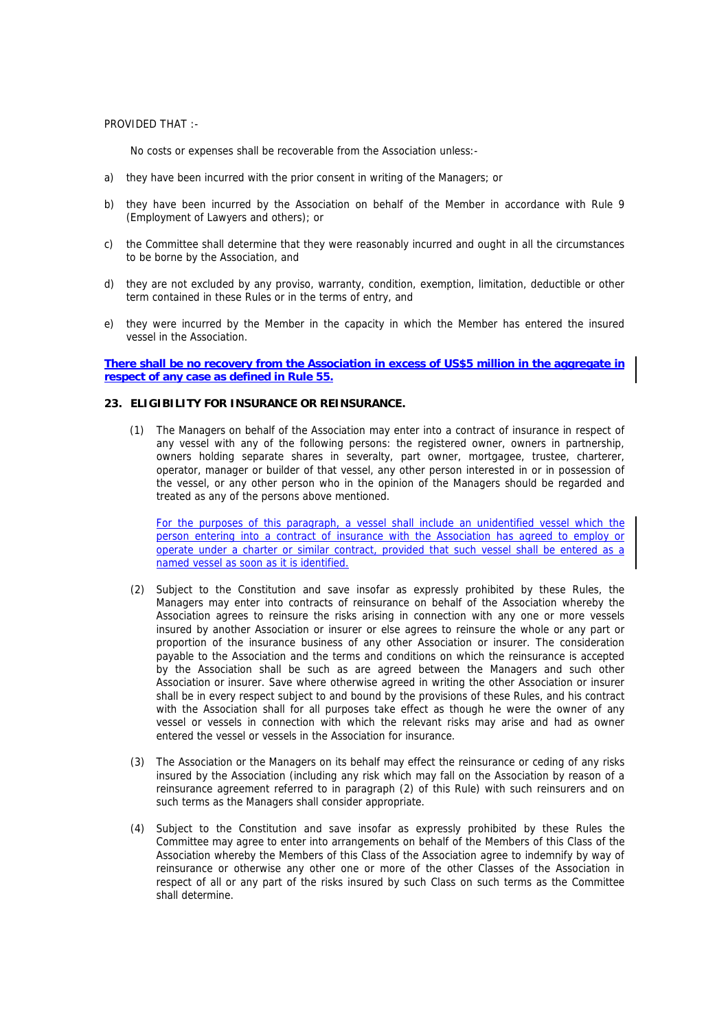PROVIDED THAT :-

No costs or expenses shall be recoverable from the Association unless:-

- a) they have been incurred with the prior consent in writing of the Managers; or
- b) they have been incurred by the Association on behalf of the Member in accordance with Rule 9 (Employment of Lawyers and others); or
- c) the Committee shall determine that they were reasonably incurred and ought in all the circumstances to be borne by the Association, and
- d) they are not excluded by any proviso, warranty, condition, exemption, limitation, deductible or other term contained in these Rules or in the terms of entry, and
- e) they were incurred by the Member in the capacity in which the Member has entered the insured vessel in the Association.

## **There shall be no recovery from the Association in excess of US\$5 million in the aggregate in respect of any case as defined in Rule 55.**

## **23. ELIGIBILITY FOR INSURANCE OR REINSURANCE.**

(1) The Managers on behalf of the Association may enter into a contract of insurance in respect of any vessel with any of the following persons: the registered owner, owners in partnership, owners holding separate shares in severalty, part owner, mortgagee, trustee, charterer, operator, manager or builder of that vessel, any other person interested in or in possession of the vessel, or any other person who in the opinion of the Managers should be regarded and treated as any of the persons above mentioned.

For the purposes of this paragraph, a vessel shall include an unidentified vessel which the person entering into a contract of insurance with the Association has agreed to employ or operate under a charter or similar contract, provided that such vessel shall be entered as a named vessel as soon as it is identified.

- (2) Subject to the Constitution and save insofar as expressly prohibited by these Rules, the Managers may enter into contracts of reinsurance on behalf of the Association whereby the Association agrees to reinsure the risks arising in connection with any one or more vessels insured by another Association or insurer or else agrees to reinsure the whole or any part or proportion of the insurance business of any other Association or insurer. The consideration payable to the Association and the terms and conditions on which the reinsurance is accepted by the Association shall be such as are agreed between the Managers and such other Association or insurer. Save where otherwise agreed in writing the other Association or insurer shall be in every respect subject to and bound by the provisions of these Rules, and his contract with the Association shall for all purposes take effect as though he were the owner of any vessel or vessels in connection with which the relevant risks may arise and had as owner entered the vessel or vessels in the Association for insurance.
- (3) The Association or the Managers on its behalf may effect the reinsurance or ceding of any risks insured by the Association (including any risk which may fall on the Association by reason of a reinsurance agreement referred to in paragraph (2) of this Rule) with such reinsurers and on such terms as the Managers shall consider appropriate.
- (4) Subject to the Constitution and save insofar as expressly prohibited by these Rules the Committee may agree to enter into arrangements on behalf of the Members of this Class of the Association whereby the Members of this Class of the Association agree to indemnify by way of reinsurance or otherwise any other one or more of the other Classes of the Association in respect of all or any part of the risks insured by such Class on such terms as the Committee shall determine.